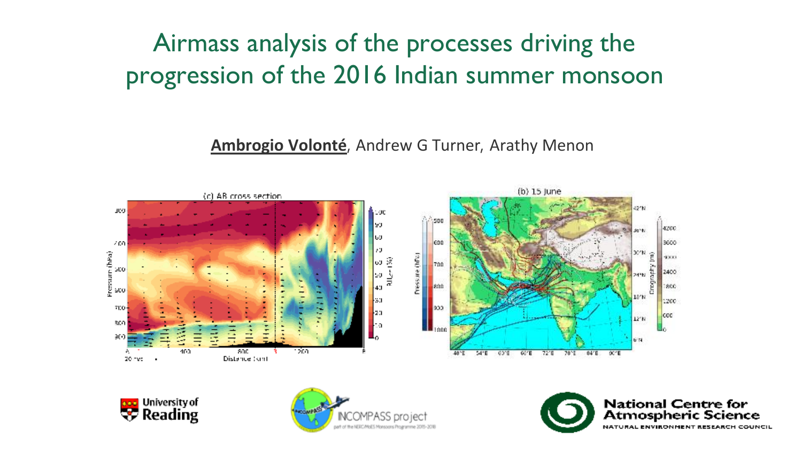# Airmass analysis of the processes driving the progression of the 2016 Indian summer monsoon

**Ambrogio Volonté**, Andrew G Turner, Arathy Menon







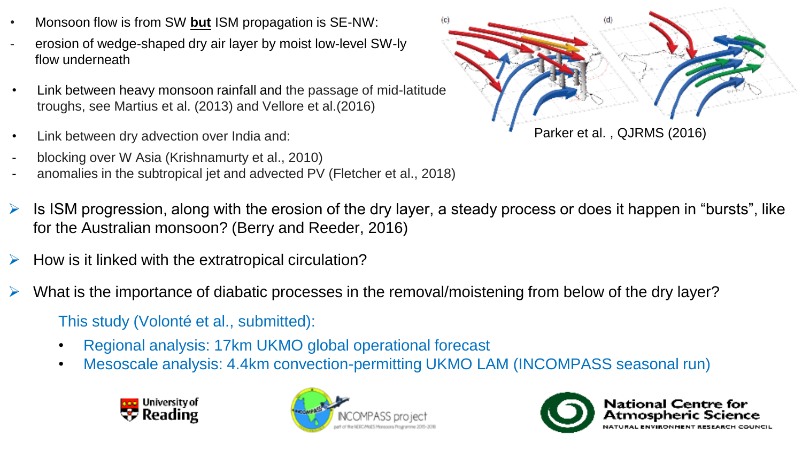- Monsoon flow is from SW **but** ISM propagation is SE-NW:
- erosion of wedge-shaped dry air layer by moist low-level SW-ly flow underneath
- Link between heavy monsoon rainfall and the passage of mid-latitude troughs, see Martius et al. (2013) and Vellore et al.(2016)
- Link between dry advection over India and:
- blocking over W Asia (Krishnamurty et al., 2010)
- anomalies in the subtropical jet and advected PV (Fletcher et al., 2018)



- Is ISM progression, along with the erosion of the dry layer, a steady process or does it happen in "bursts", like for the Australian monsoon? (Berry and Reeder, 2016)
- How is it linked with the extratropical circulation?
- What is the importance of diabatic processes in the removal/moistening from below of the dry layer?

This study (Volonté et al., submitted):

- Regional analysis: 17km UKMO global operational forecast
- Mesoscale analysis: 4.4km convection-permitting UKMO LAM (INCOMPASS seasonal run)





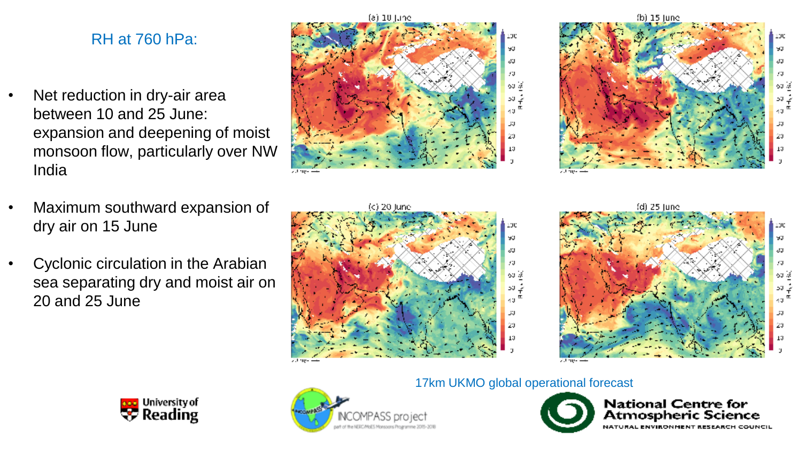## RH at 760 hPa:

- Net reduction in dry-air area between 10 and 25 June: expansion and deepening of moist monsoon flow, particularly over NW India
- Maximum southward expansion of dry air on 15 June
- Cyclonic circulation in the Arabian sea separating dry and moist air on 20 and 25 June













17km UKMO global operational forecast

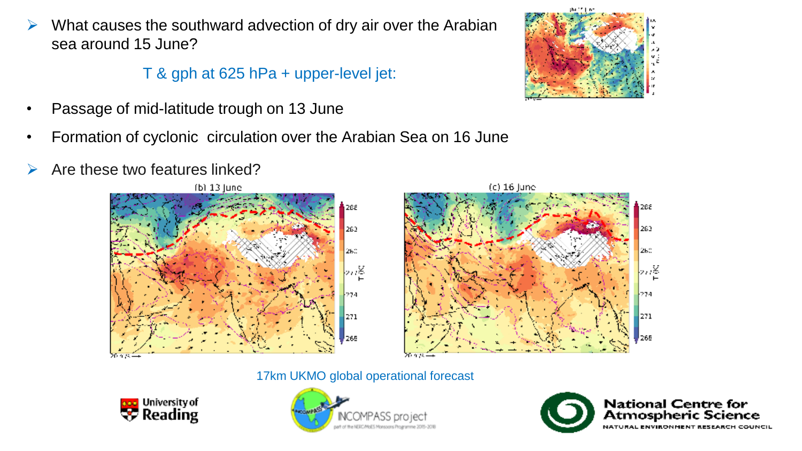$\triangleright$  What causes the southward advection of dry air over the Arabian sea around 15 June?

T & gph at 625 hPa + upper-level jet:

- Passage of mid-latitude trough on 13 June
- Formation of cyclonic circulation over the Arabian Sea on 16 June
- $\triangleright$  Are these two features linked?







17km UKMO global operational forecast





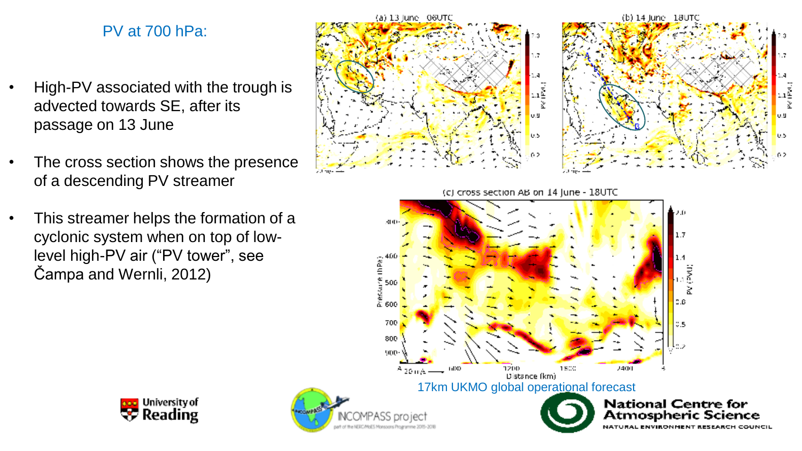### PV at 700 hPa:

- High-PV associated with the trough is advected towards SE, after its passage on 13 June
- The cross section shows the presence of a descending PV streamer
- This streamer helps the formation of a cyclonic system when on top of lowlevel high-PV air ("PV tower", see Čampa and Wernli, 2012)

יָהַ<br>אֲנו UΩ 0.5 02 (c) cross section AB on 14 June - 18UTC 300  $1.7$ é.

**T2DD** 

Distance (km)

1800

2400

(b) 14 June - 18UTC

Ω.C

**National Centre for** 

Atmospheric Science

**RESEARCH COUNCIL** 

 $\begin{array}{c}\n\overrightarrow{1} \\
\overrightarrow{2} \\
\overrightarrow{3}\n\end{array}$ 

u.u

0.5





 $^{A}$  20 m/s  $\longrightarrow$  <sup>600</sup>

(a) 13 June - 06UTC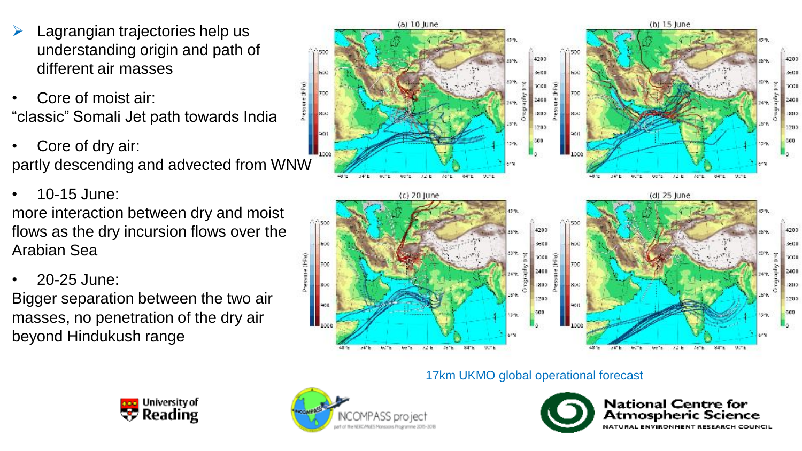- ➢ Lagrangian trajectories help us understanding origin and path of different air masses
- Core of moist air: "classic" Somali Jet path towards India
- Core of dry air: partly descending and advected from WNW
- 10-15 June: more interaction between dry and moist flows as the dry incursion flows over the Arabian Sea
- 20-25 June:

Bigger separation between the two air masses, no penetration of the dry air beyond Hindukush range



#### 17km UKMO global operational forecast





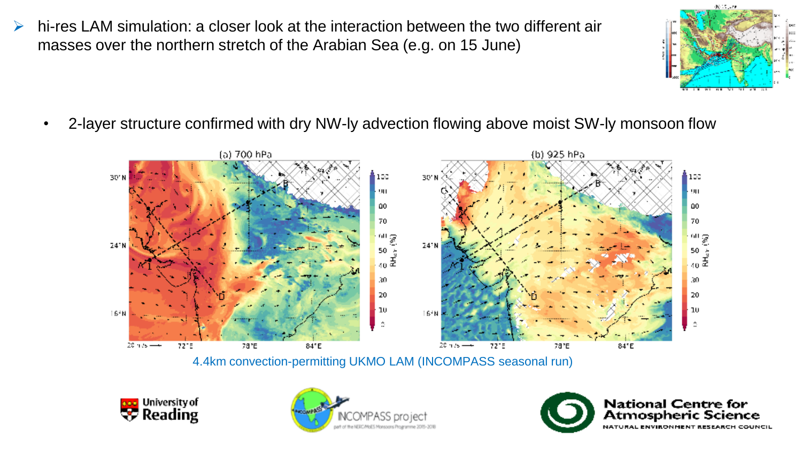- $\triangleright$  hi-res LAM simulation: a closer look at the interaction between the two different air masses over the northern stretch of the Arabian Sea (e.g. on 15 June)
	-
	- 2-layer structure confirmed with dry NW-ly advection flowing above moist SW-ly monsoon flow



4.4km convection-permitting UKMO LAM (INCOMPASS seasonal run)





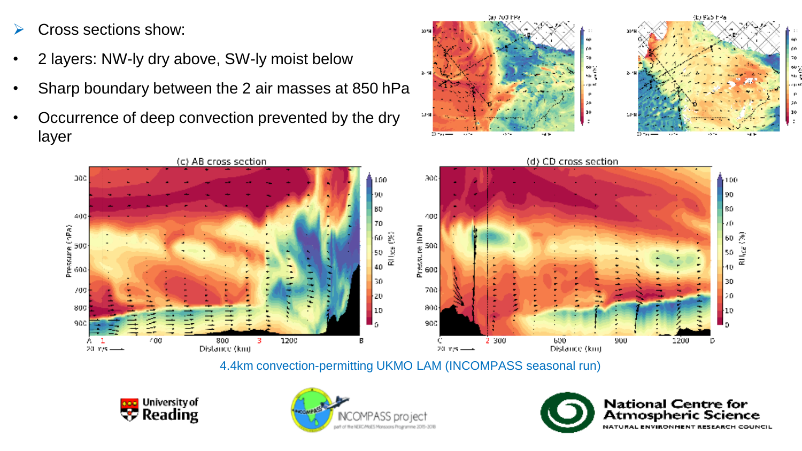➢ Cross sections show:

(APA)

- 2 layers: NW-ly dry above, SW-ly moist below
- Sharp boundary between the 2 air masses at 850 hPa
- Occurrence of deep convection prevented by the dry layer



(a) 700 PPa

۵ċ. ្លូង<br>អត្ថ

20

4.4km convection-permitting UKMO LAM (INCOMPASS seasonal run)







(b) 925 h-46

m 70

ŵ. ч.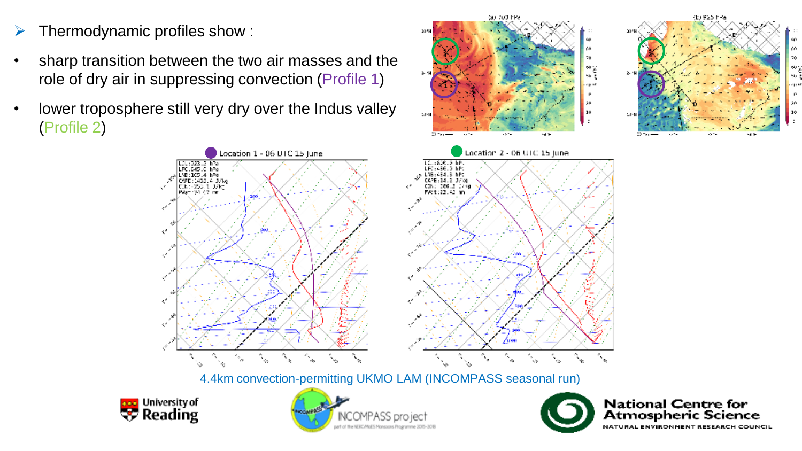- $\triangleright$  Thermodynamic profiles show :
- sharp transition between the two air masses and the role of dry air in suppressing convection (Profile 1)
- lower troposphere still very dry over the Indus valley (Profile 2)



(a) 700 hPa

70. ្លូង<br>អត្ថ

4.4km convection-permitting UKMO LAM (INCOMPASS seasonal run)







(b) 925 h 46

ρó 70

w. 56.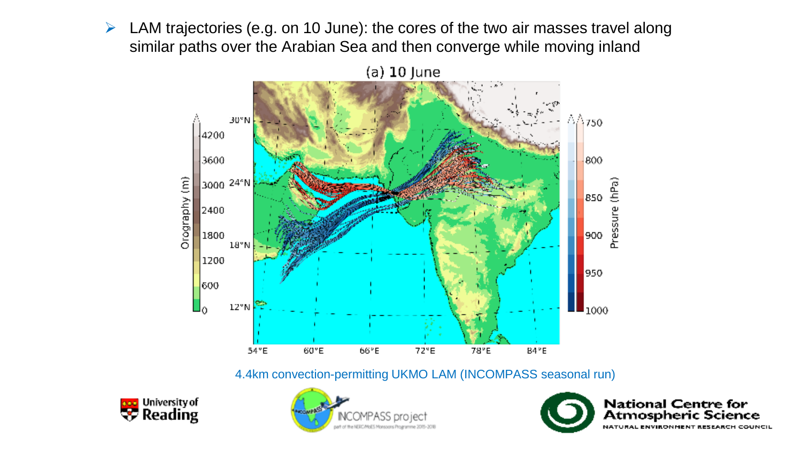$\triangleright$  LAM trajectories (e.g. on 10 June): the cores of the two air masses travel along similar paths over the Arabian Sea and then converge while moving inland



4.4km convection-permitting UKMO LAM (INCOMPASS seasonal run)





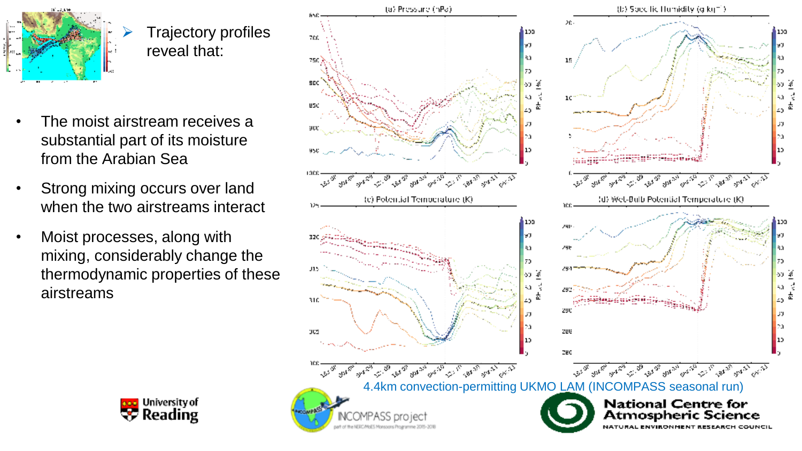

➢ Trajectory profiles reveal that:

- The moist airstream receives a substantial part of its moisture from the Arabian Sea
- Strong mixing occurs over land when the two airstreams interact
- Moist processes, along with mixing, considerably change the thermodynamic properties of these airstreams



פכבו